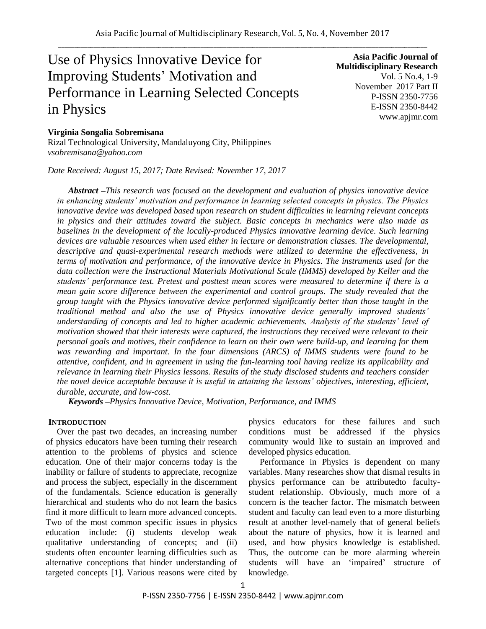# Use of Physics Innovative Device for Improving Students" Motivation and Performance in Learning Selected Concepts in Physics

**Asia Pacific Journal of Multidisciplinary Research** Vol. 5 No.4, 1-9 November 2017 Part II P-ISSN 2350-7756 E-ISSN 2350-8442 www.apjmr.com

## **Virginia Songalia Sobremisana**

Rizal Technological University, Mandaluyong City, Philippines *vsobremisana@yahoo.com*

*Date Received: August 15, 2017; Date Revised: November 17, 2017*

*Abstract –This research was focused on the development and evaluation of physics innovative device in enhancing students' motivation and performance in learning selected concepts in physics. The Physics innovative device was developed based upon research on student difficulties in learning relevant concepts in physics and their attitudes toward the subject. Basic concepts in mechanics were also made as baselines in the development of the locally-produced Physics innovative learning device. Such learning devices are valuable resources when used either in lecture or demonstration classes. The developmental, descriptive and quasi-experimental research methods were utilized to determine the effectiveness, in terms of motivation and performance, of the innovative device in Physics. The instruments used for the data collection were the Instructional Materials Motivational Scale (IMMS) developed by Keller and the students' performance test. Pretest and posttest mean scores were measured to determine if there is a mean gain score difference between the experimental and control groups. The study revealed that the group taught with the Physics innovative device performed significantly better than those taught in the traditional method and also the use of Physics innovative device generally improved students' understanding of concepts and led to higher academic achievements. Analysis of the students' level of motivation showed that their interests were captured, the instructions they received were relevant to their personal goals and motives, their confidence to learn on their own were build-up, and learning for them was rewarding and important. In the four dimensions (ARCS) of IMMS students were found to be attentive, confident, and in agreement in using the fun-learning tool having realize its applicability and relevance in learning their Physics lessons. Results of the study disclosed students and teachers consider the novel device acceptable because it is useful in attaining the lessons' objectives, interesting, efficient, durable, accurate, and low-cost.*

*Keywords –Physics Innovative Device, Motivation, Performance, and IMMS*

#### **INTRODUCTION**

Over the past two decades, an increasing number of physics educators have been turning their research attention to the problems of physics and science education. One of their major concerns today is the inability or failure of students to appreciate, recognize and process the subject, especially in the discernment of the fundamentals. Science education is generally hierarchical and students who do not learn the basics find it more difficult to learn more advanced concepts. Two of the most common specific issues in physics education include: (i) students develop weak qualitative understanding of concepts; and (ii) students often encounter learning difficulties such as alternative conceptions that hinder understanding of targeted concepts [1]. Various reasons were cited by physics educators for these failures and such conditions must be addressed if the physics community would like to sustain an improved and developed physics education.

Performance in Physics is dependent on many variables. Many researches show that dismal results in physics performance can be attributedto facultystudent relationship. Obviously, much more of a concern is the teacher factor. The mismatch between student and faculty can lead even to a more disturbing result at another level-namely that of general beliefs about the nature of physics, how it is learned and used, and how physics knowledge is established. Thus, the outcome can be more alarming wherein students will have an 'impaired' structure of knowledge.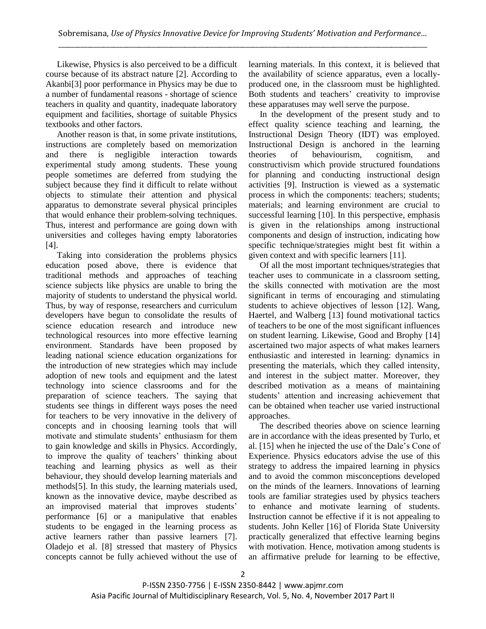Likewise, Physics is also perceived to be a difficult course because of its abstract nature [2]. According to Akanbi[3] poor performance in Physics may be due to a number of fundamental reasons - shortage of science teachers in quality and quantity, inadequate laboratory equipment and facilities, shortage of suitable Physics textbooks and other factors.

Another reason is that, in some private institutions, instructions are completely based on memorization and there is negligible interaction towards experimental study among students. These young people sometimes are deferred from studying the subject because they find it difficult to relate without objects to stimulate their attention and physical apparatus to demonstrate several physical principles that would enhance their problem-solving techniques. Thus, interest and performance are going down with universities and colleges having empty laboratories [4].

Taking into consideration the problems physics education posed above, there is evidence that traditional methods and approaches of teaching science subjects like physics are unable to bring the majority of students to understand the physical world. Thus, by way of response, researchers and curriculum developers have begun to consolidate the results of science education research and introduce new technological resources into more effective learning environment. Standards have been proposed by leading national science education organizations for the introduction of new strategies which may include adoption of new tools and equipment and the latest technology into science classrooms and for the preparation of science teachers. The saying that students see things in different ways poses the need for teachers to be very innovative in the delivery of concepts and in choosing learning tools that will motivate and stimulate students' enthusiasm for them to gain knowledge and skills in Physics. Accordingly, to improve the quality of teachers' thinking about teaching and learning physics as well as their behaviour, they should develop learning materials and methods[5]. In this study, the learning materials used, known as the innovative device, maybe described as an improvised material that improves students' performance [6] or a manipulative that enables students to be engaged in the learning process as active learners rather than passive learners [7]. Oladejo et al. [8] stressed that mastery of Physics concepts cannot be fully achieved without the use of

learning materials. In this context, it is believed that the availability of science apparatus, even a locallyproduced one, in the classroom must be highlighted. Both students and teachers' creativity to improvise these apparatuses may well serve the purpose.

In the development of the present study and to effect quality science teaching and learning, the Instructional Design Theory (IDT) was employed. Instructional Design is anchored in the learning theories of behaviourism, cognitism, and constructivism which provide structured foundations for planning and conducting instructional design activities [9]. Instruction is viewed as a systematic process in which the components: teachers; students; materials; and learning environment are crucial to successful learning [10]. In this perspective, emphasis is given in the relationships among instructional components and design of instruction, indicating how specific technique/strategies might best fit within a given context and with specific learners [11].

Of all the most important techniques/strategies that teacher uses to communicate in a classroom setting, the skills connected with motivation are the most significant in terms of encouraging and stimulating students to achieve objectives of lesson [12]. Wang, Haertel, and Walberg [13] found motivational tactics of teachers to be one of the most significant influences on student learning. Likewise, Good and Brophy [14] ascertained two major aspects of what makes learners enthusiastic and interested in learning: dynamics in presenting the materials, which they called intensity, and interest in the subject matter. Moreover, they described motivation as a means of maintaining students" attention and increasing achievement that can be obtained when teacher use varied instructional approaches.

The described theories above on science learning are in accordance with the ideas presented by Turlo, et al. [15] when he injected the use of the Dale"s Cone of Experience. Physics educators advise the use of this strategy to address the impaired learning in physics and to avoid the common misconceptions developed on the minds of the learners. Innovations of learning tools are familiar strategies used by physics teachers to enhance and motivate learning of students. Instruction cannot be effective if it is not appealing to students. John Keller [16] of Florida State University practically generalized that effective learning begins with motivation. Hence, motivation among students is an affirmative prelude for learning to be effective,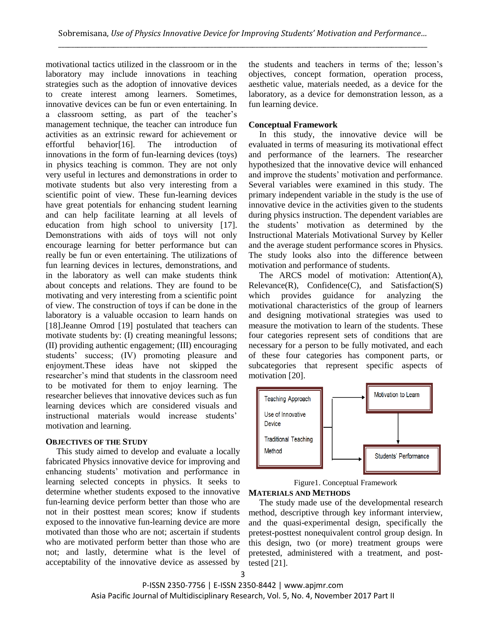motivational tactics utilized in the classroom or in the laboratory may include innovations in teaching strategies such as the adoption of innovative devices to create interest among learners. Sometimes, innovative devices can be fun or even entertaining. In a classroom setting, as part of the teacher"s management technique, the teacher can introduce fun activities as an extrinsic reward for achievement or effortful behavior[16]. The introduction of innovations in the form of fun-learning devices (toys) in physics teaching is common. They are not only very useful in lectures and demonstrations in order to motivate students but also very interesting from a scientific point of view. These fun-learning devices have great potentials for enhancing student learning and can help facilitate learning at all levels of education from high school to university [17]. Demonstrations with aids of toys will not only encourage learning for better performance but can really be fun or even entertaining. The utilizations of fun learning devices in lectures, demonstrations, and in the laboratory as well can make students think about concepts and relations. They are found to be motivating and very interesting from a scientific point of view. The construction of toys if can be done in the laboratory is a valuable occasion to learn hands on [18].Jeanne Omrod [19] postulated that teachers can motivate students by: (I) creating meaningful lessons; (II) providing authentic engagement; (III) encouraging students" success; (IV) promoting pleasure and enjoyment.These ideas have not skipped the researcher"s mind that students in the classroom need to be motivated for them to enjoy learning. The researcher believes that innovative devices such as fun learning devices which are considered visuals and instructional materials would increase students' motivation and learning.

# **OBJECTIVES OF THE STUDY**

This study aimed to develop and evaluate a locally fabricated Physics innovative device for improving and enhancing students" motivation and performance in learning selected concepts in physics. It seeks to determine whether students exposed to the innovative fun-learning device perform better than those who are not in their posttest mean scores; know if students exposed to the innovative fun-learning device are more motivated than those who are not; ascertain if students who are motivated perform better than those who are not; and lastly, determine what is the level of acceptability of the innovative device as assessed by

the students and teachers in terms of the; lesson"s objectives, concept formation, operation process, aesthetic value, materials needed, as a device for the laboratory, as a device for demonstration lesson, as a fun learning device.

# **Conceptual Framework**

In this study, the innovative device will be evaluated in terms of measuring its motivational effect and performance of the learners. The researcher hypothesized that the innovative device will enhanced and improve the students' motivation and performance. Several variables were examined in this study. The primary independent variable in the study is the use of innovative device in the activities given to the students during physics instruction. The dependent variables are the students" motivation as determined by the Instructional Materials Motivational Survey by Keller and the average student performance scores in Physics. The study looks also into the difference between motivation and performance of students.

The ARCS model of motivation: Attention(A),  $Relevance(R)$ , Confidence $(C)$ , and Satisfaction(S) which provides guidance for analyzing the motivational characteristics of the group of learners and designing motivational strategies was used to measure the motivation to learn of the students. These four categories represent sets of conditions that are necessary for a person to be fully motivated, and each of these four categories has component parts, or subcategories that represent specific aspects of motivation [20].



Figure1. Conceptual Framework

#### **MATERIALS AND METHODS**

The study made use of the developmental research method, descriptive through key informant interview, and the quasi-experimental design, specifically the pretest-posttest nonequivalent control group design. In this design, two (or more) treatment groups were pretested, administered with a treatment, and posttested [21].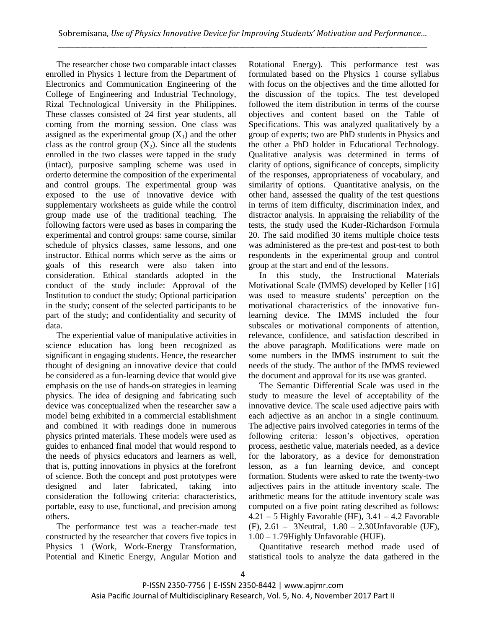The researcher chose two comparable intact classes enrolled in Physics 1 lecture from the Department of Electronics and Communication Engineering of the College of Engineering and Industrial Technology, Rizal Technological University in the Philippines. These classes consisted of 24 first year students, all coming from the morning session. One class was assigned as the experimental group  $(X_1)$  and the other class as the control group  $(X_2)$ . Since all the students enrolled in the two classes were tapped in the study (intact), purposive sampling scheme was used in orderto determine the composition of the experimental and control groups. The experimental group was exposed to the use of innovative device with supplementary worksheets as guide while the control group made use of the traditional teaching. The following factors were used as bases in comparing the experimental and control groups: same course, similar schedule of physics classes, same lessons, and one instructor. Ethical norms which serve as the aims or goals of this research were also taken into consideration. Ethical standards adopted in the conduct of the study include: Approval of the Institution to conduct the study; Optional participation in the study; consent of the selected participants to be part of the study; and confidentiality and security of data.

The experiential value of manipulative activities in science education has long been recognized as significant in engaging students. Hence, the researcher thought of designing an innovative device that could be considered as a fun-learning device that would give emphasis on the use of hands-on strategies in learning physics. The idea of designing and fabricating such device was conceptualized when the researcher saw a model being exhibited in a commercial establishment and combined it with readings done in numerous physics printed materials. These models were used as guides to enhanced final model that would respond to the needs of physics educators and learners as well, that is, putting innovations in physics at the forefront of science. Both the concept and post prototypes were designed and later fabricated, taking into consideration the following criteria: characteristics, portable, easy to use, functional, and precision among others.

The performance test was a teacher-made test constructed by the researcher that covers five topics in Physics 1 (Work, Work-Energy Transformation, Potential and Kinetic Energy, Angular Motion and

Rotational Energy). This performance test was formulated based on the Physics 1 course syllabus with focus on the objectives and the time allotted for the discussion of the topics. The test developed followed the item distribution in terms of the course objectives and content based on the Table of Specifications. This was analyzed qualitatively by a group of experts; two are PhD students in Physics and the other a PhD holder in Educational Technology. Qualitative analysis was determined in terms of clarity of options, significance of concepts, simplicity of the responses, appropriateness of vocabulary, and similarity of options. Quantitative analysis, on the other hand, assessed the quality of the test questions in terms of item difficulty, discrimination index, and distractor analysis. In appraising the reliability of the tests, the study used the Kuder-Richardson Formula 20. The said modified 30 items multiple choice tests was administered as the pre-test and post-test to both respondents in the experimental group and control group at the start and end of the lessons.

In this study, the Instructional Materials Motivational Scale (IMMS) developed by Keller [16] was used to measure students' perception on the motivational characteristics of the innovative funlearning device. The IMMS included the four subscales or motivational components of attention, relevance, confidence, and satisfaction described in the above paragraph. Modifications were made on some numbers in the IMMS instrument to suit the needs of the study. The author of the IMMS reviewed the document and approval for its use was granted.

The Semantic Differential Scale was used in the study to measure the level of acceptability of the innovative device. The scale used adjective pairs with each adjective as an anchor in a single continuum. The adjective pairs involved categories in terms of the following criteria: lesson's objectives, operation process, aesthetic value, materials needed, as a device for the laboratory, as a device for demonstration lesson, as a fun learning device, and concept formation. Students were asked to rate the twenty-two adjectives pairs in the attitude inventory scale. The arithmetic means for the attitude inventory scale was computed on a five point rating described as follows:  $4.21 - 5$  Highly Favorable (HF),  $3.41 - 4.2$  Favorable (F), 2.61 – 3Neutral, 1.80 – 2.30Unfavorable (UF), 1.00 – 1.79Highly Unfavorable (HUF).

Quantitative research method made used of statistical tools to analyze the data gathered in the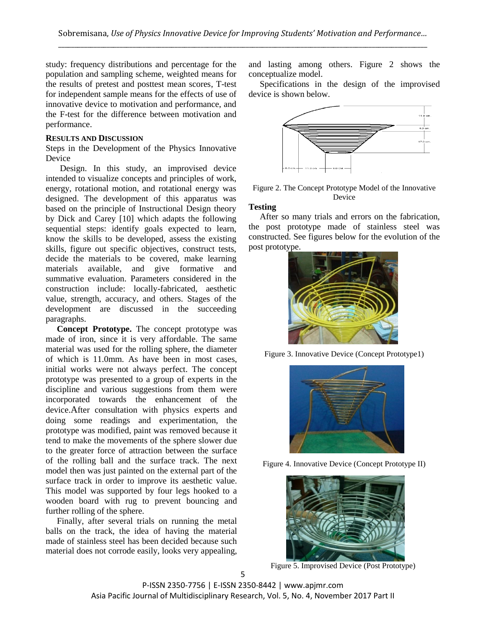study: frequency distributions and percentage for the population and sampling scheme, weighted means for the results of pretest and posttest mean scores, T-test for independent sample means for the effects of use of innovative device to motivation and performance, and the F-test for the difference between motivation and performance.

#### **RESULTS AND DISCUSSION**

Steps in the Development of the Physics Innovative Device

Design. In this study, an improvised device intended to visualize concepts and principles of work, energy, rotational motion, and rotational energy was designed. The development of this apparatus was based on the principle of Instructional Design theory by Dick and Carey [10] which adapts the following sequential steps: identify goals expected to learn, know the skills to be developed, assess the existing skills, figure out specific objectives, construct tests, decide the materials to be covered, make learning materials available, and give formative and summative evaluation. Parameters considered in the construction include: locally-fabricated, aesthetic value, strength, accuracy, and others. Stages of the development are discussed in the succeeding paragraphs.

**Concept Prototype.** The concept prototype was made of iron, since it is very affordable. The same material was used for the rolling sphere, the diameter of which is 11.0mm. As have been in most cases, initial works were not always perfect. The concept prototype was presented to a group of experts in the discipline and various suggestions from them were incorporated towards the enhancement of the device.After consultation with physics experts and doing some readings and experimentation, the prototype was modified, paint was removed because it tend to make the movements of the sphere slower due to the greater force of attraction between the surface of the rolling ball and the surface track. The next model then was just painted on the external part of the surface track in order to improve its aesthetic value. This model was supported by four legs hooked to a wooden board with rug to prevent bouncing and further rolling of the sphere.

Finally, after several trials on running the metal balls on the track, the idea of having the material made of stainless steel has been decided because such material does not corrode easily, looks very appealing,

and lasting among others. Figure 2 shows the conceptualize model.

Specifications in the design of the improvised device is shown below.



Figure 2. The Concept Prototype Model of the Innovative Device

#### **Testing**

After so many trials and errors on the fabrication, the post prototype made of stainless steel was constructed. See figures below for the evolution of the post prototype.



Figure 3. Innovative Device (Concept Prototype1)



Figure 4. Innovative Device (Concept Prototype II)



Figure 5. Improvised Device (Post Prototype)

P-ISSN 2350-7756 | E-ISSN 2350-8442 | www.apjmr.com Asia Pacific Journal of Multidisciplinary Research, Vol. 5, No. 4, November 2017 Part II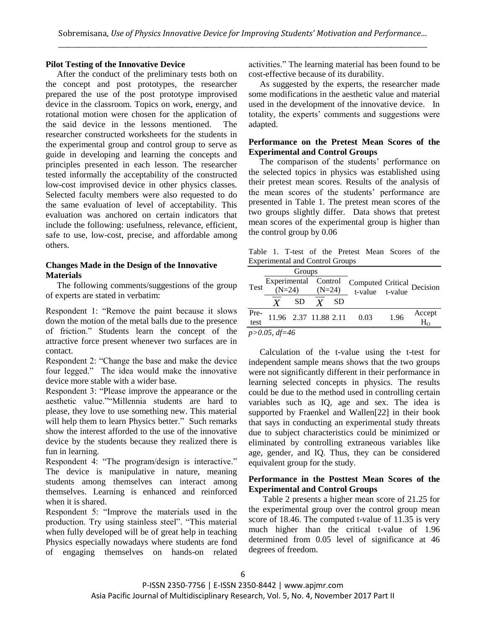## **Pilot Testing of the Innovative Device**

After the conduct of the preliminary tests both on the concept and post prototypes, the researcher prepared the use of the post prototype improvised device in the classroom. Topics on work, energy, and rotational motion were chosen for the application of the said device in the lessons mentioned. The researcher constructed worksheets for the students in the experimental group and control group to serve as guide in developing and learning the concepts and principles presented in each lesson. The researcher tested informally the acceptability of the constructed low-cost improvised device in other physics classes. Selected faculty members were also requested to do the same evaluation of level of acceptability. This evaluation was anchored on certain indicators that include the following: usefulness, relevance, efficient, safe to use, low-cost, precise, and affordable among others.

## **Changes Made in the Design of the Innovative Materials**

The following comments/suggestions of the group of experts are stated in verbatim:

Respondent 1: "Remove the paint because it slows down the motion of the metal balls due to the presence of friction." Students learn the concept of the attractive force present whenever two surfaces are in contact.

Respondent 2: "Change the base and make the device four legged." The idea would make the innovative device more stable with a wider base.

Respondent 3: "Please improve the appearance or the aesthetic value.""Millennia students are hard to please, they love to use something new. This material will help them to learn Physics better." Such remarks show the interest afforded to the use of the innovative device by the students because they realized there is fun in learning.

Respondent 4: "The program/design is interactive." The device is manipulative in nature, meaning students among themselves can interact among themselves. Learning is enhanced and reinforced when it is shared.

Respondent 5: "Improve the materials used in the production. Try using stainless steel". "This material when fully developed will be of great help in teaching Physics especially nowadays where students are fond of engaging themselves on hands-on related activities." The learning material has been found to be cost-effective because of its durability.

As suggested by the experts, the researcher made some modifications in the aesthetic value and material used in the development of the innovative device. In totality, the experts" comments and suggestions were adapted.

## **Performance on the Pretest Mean Scores of the Experimental and Control Groups**

The comparison of the students' performance on the selected topics in physics was established using their pretest mean scores. Results of the analysis of the mean scores of the students' performance are presented in Table 1. The pretest mean scores of the two groups slightly differ. Data shows that pretest mean scores of the experimental group is higher than the control group by 0.06

Table 1. T-test of the Pretest Mean Scores of the Experimental and Control Groups

|                    | Groups                                                                                                     |           |  |     |                            |      |                        |
|--------------------|------------------------------------------------------------------------------------------------------------|-----------|--|-----|----------------------------|------|------------------------|
| Test               | Experimental Control<br>reperimental Control Computed Critical Decision<br>(N=24) $(N=24)$ t-value t-value |           |  |     |                            |      |                        |
|                    | Y                                                                                                          | <b>SD</b> |  | SD. |                            |      |                        |
| Pre-<br>test       |                                                                                                            |           |  |     | 11.96 2.37 11.88 2.11 0.03 | 1.96 | Accept<br>$H_{\Omega}$ |
| $p > 0.05$ , df=46 |                                                                                                            |           |  |     |                            |      |                        |

Calculation of the t-value using the t-test for independent sample means shows that the two groups were not significantly different in their performance in learning selected concepts in physics. The results could be due to the method used in controlling certain variables such as IQ, age and sex. The idea is supported by Fraenkel and Wallen[22] in their book that says in conducting an experimental study threats due to subject characteristics could be minimized or eliminated by controlling extraneous variables like age, gender, and IQ. Thus, they can be considered equivalent group for the study.

## **Performance in the Posttest Mean Scores of the Experimental and Control Groups**

Table 2 presents a higher mean score of 21.25 for the experimental group over the control group mean score of 18.46. The computed t-value of 11.35 is very much higher than the critical t-value of 1.96 determined from 0.05 level of significance at 46 degrees of freedom.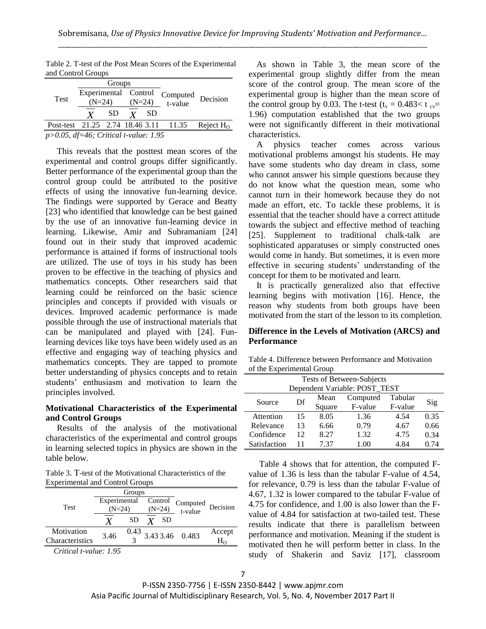| and Control Oroups                         |          |                      |          |           |                     |             |  |
|--------------------------------------------|----------|----------------------|----------|-----------|---------------------|-------------|--|
|                                            |          | Groups               |          |           |                     |             |  |
|                                            |          | Experimental Control |          |           |                     |             |  |
| Test                                       | $(N=24)$ |                      | $(N=24)$ |           | Computed<br>t-value | Decision    |  |
|                                            | Y        | SD.                  |          | <b>SD</b> |                     |             |  |
| Post-test 21.25 2.74 18.46 3.11 11.35      |          |                      |          |           |                     | Reject $Ho$ |  |
| $p > 0.05$ , df=46; Critical t-value: 1.95 |          |                      |          |           |                     |             |  |

Table 2. T-test of the Post Mean Scores of the Experimental and Control Groups

This reveals that the posttest mean scores of the experimental and control groups differ significantly. Better performance of the experimental group than the control group could be attributed to the positive effects of using the innovative fun-learning device. The findings were supported by Gerace and Beatty [23] who identified that knowledge can be best gained by the use of an innovative fun-learning device in learning. Likewise, Amir and Subramaniam [24] found out in their study that improved academic performance is attained if forms of instructional tools are utilized. The use of toys in his study has been proven to be effective in the teaching of physics and mathematics concepts. Other researchers said that learning could be reinforced on the basic science principles and concepts if provided with visuals or devices. Improved academic performance is made possible through the use of instructional materials that can be manipulated and played with [24]. Funlearning devices like toys have been widely used as an effective and engaging way of teaching physics and mathematics concepts. They are tapped to promote better understanding of physics concepts and to retain students" enthusiasm and motivation to learn the principles involved.

## **Motivational Characteristics of the Experimental and Control Groups**

Results of the analysis of the motivational characteristics of the experimental and control groups in learning selected topics in physics are shown in the table below.

Table 3. T-test of the Motivational Characteristics of the Experimental and Control Groups

|                                    |                                  | Groups |  |     |                                                                    |                 |
|------------------------------------|----------------------------------|--------|--|-----|--------------------------------------------------------------------|-----------------|
| <b>Test</b>                        | Experimental Control<br>$(N=24)$ |        |  |     | Control Computed Decision<br>$\underline{(N=24)}$ t-value Decision |                 |
|                                    |                                  | SD     |  | -SD |                                                                    |                 |
| Motivation                         | 3.46                             |        |  |     | $\frac{0.43}{3}$ 3.43 3.46 0.483                                   | Accept          |
| Characteristics                    |                                  |        |  |     |                                                                    | $\rm H_{\odot}$ |
| $C_{ijkl}$ and $i$ and $l$ and $l$ |                                  |        |  |     |                                                                    |                 |

*Critical t-value: 1.95*

As shown in Table 3, the mean score of the experimental group slightly differ from the mean score of the control group. The mean score of the experimental group is higher than the mean score of the control group by 0.03. The t-test  $(t_v = 0.483 < t_{cv} =$ 1.96) computation established that the two groups were not significantly different in their motivational characteristics.

A physics teacher comes across various motivational problems amongst his students. He may have some students who day dream in class, some who cannot answer his simple questions because they do not know what the question mean, some who cannot turn in their homework because they do not made an effort, etc. To tackle these problems, it is essential that the teacher should have a correct attitude towards the subject and effective method of teaching [25]. Supplement to traditional chalk-talk are sophisticated apparatuses or simply constructed ones would come in handy. But sometimes, it is even more effective in securing students" understanding of the concept for them to be motivated and learn.

It is practically generalized also that effective learning begins with motivation [16]. Hence, the reason why students from both groups have been motivated from the start of the lesson to its completion.

#### **Difference in the Levels of Motivation (ARCS) and Performance**

Table 4. Difference between Performance and Motivation of the Experimental Group

| Tests of Between-Subjects     |    |        |          |         |      |  |  |  |  |
|-------------------------------|----|--------|----------|---------|------|--|--|--|--|
| Dependent Variable: POST_TEST |    |        |          |         |      |  |  |  |  |
| Source                        | Df | Mean   | Computed | Tabular | Sig  |  |  |  |  |
|                               |    | Square | F-value  | F-value |      |  |  |  |  |
| Attention                     | 15 | 8.05   | 1.36     | 4.54    | 0.35 |  |  |  |  |
| Relevance                     | 13 | 6.66   | 0.79     | 4.67    | 0.66 |  |  |  |  |
| Confidence                    | 12 | 8.27   | 1.32     | 4.75    | 0.34 |  |  |  |  |
| Satisfaction                  | 11 | 7 37   | 1.00     | 4.84    | 0.74 |  |  |  |  |

Table 4 shows that for attention, the computed Fvalue of 1.36 is less than the tabular F-value of 4.54, for relevance, 0.79 is less than the tabular F-value of 4.67, 1.32 is lower compared to the tabular F-value of 4.75 for confidence, and 1.00 is also lower than the Fvalue of 4.84 for satisfaction at two-tailed test. These results indicate that there is parallelism between performance and motivation. Meaning if the student is motivated then he will perform better in class. In the study of Shakerin and Saviz [17], classroom

P-ISSN 2350-7756 | E-ISSN 2350-8442 | www.apjmr.com Asia Pacific Journal of Multidisciplinary Research, Vol. 5, No. 4, November 2017 Part II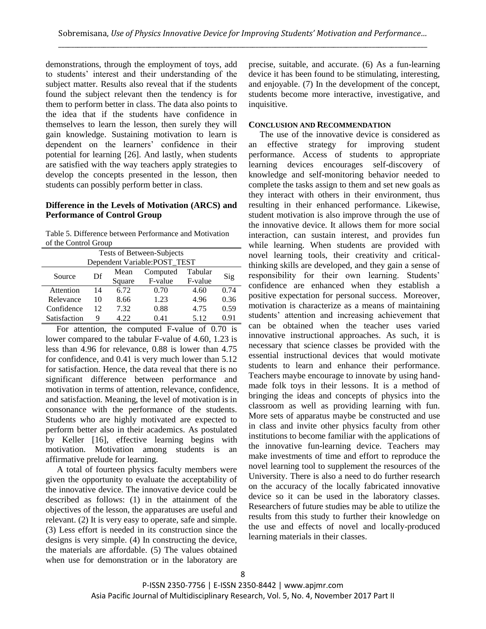demonstrations, through the employment of toys, add to students" interest and their understanding of the subject matter. Results also reveal that if the students found the subject relevant then the tendency is for them to perform better in class. The data also points to the idea that if the students have confidence in themselves to learn the lesson, then surely they will gain knowledge. Sustaining motivation to learn is dependent on the learners" confidence in their potential for learning [26]. And lastly, when students are satisfied with the way teachers apply strategies to develop the concepts presented in the lesson, then students can possibly perform better in class.

## **Difference in the Levels of Motivation (ARCS) and Performance of Control Group**

Table 5. Difference between Performance and Motivation of the Control Group

| Tests of Between-Subjects    |    |        |          |         |      |  |  |  |
|------------------------------|----|--------|----------|---------|------|--|--|--|
| Dependent Variable:POST_TEST |    |        |          |         |      |  |  |  |
| Source                       | Df | Mean   | Computed | Tabular |      |  |  |  |
|                              |    | Square | F-value  | F-value | Sig  |  |  |  |
| Attention                    | 14 | 6.72   | 0.70     | 4.60    | 0.74 |  |  |  |
| Relevance                    | 10 | 8.66   | 1.23     | 4.96    | 0.36 |  |  |  |
| Confidence                   | 12 | 7.32   | 0.88     | 4.75    | 0.59 |  |  |  |
| Satisfaction                 | 9  | 4.22   | 0.41     | 5.12    | 0.91 |  |  |  |

For attention, the computed F-value of 0.70 is lower compared to the tabular F-value of 4.60, 1.23 is less than 4.96 for relevance, 0.88 is lower than 4.75 for confidence, and 0.41 is very much lower than 5.12 for satisfaction. Hence, the data reveal that there is no significant difference between performance and motivation in terms of attention, relevance, confidence, and satisfaction. Meaning, the level of motivation is in consonance with the performance of the students. Students who are highly motivated are expected to perform better also in their academics. As postulated by Keller [16], effective learning begins with motivation. Motivation among students is an affirmative prelude for learning.

A total of fourteen physics faculty members were given the opportunity to evaluate the acceptability of the innovative device. The innovative device could be described as follows: (1) in the attainment of the objectives of the lesson, the apparatuses are useful and relevant. (2) It is very easy to operate, safe and simple. (3) Less effort is needed in its construction since the designs is very simple. (4) In constructing the device, the materials are affordable. (5) The values obtained when use for demonstration or in the laboratory are precise, suitable, and accurate. (6) As a fun-learning device it has been found to be stimulating, interesting, and enjoyable. (7) In the development of the concept, students become more interactive, investigative, and inquisitive.

## **CONCLUSION AND RECOMMENDATION**

The use of the innovative device is considered as an effective strategy for improving student performance. Access of students to appropriate learning devices encourages self-discovery of knowledge and self-monitoring behavior needed to complete the tasks assign to them and set new goals as they interact with others in their environment, thus resulting in their enhanced performance. Likewise, student motivation is also improve through the use of the innovative device. It allows them for more social interaction, can sustain interest, and provides fun while learning. When students are provided with novel learning tools, their creativity and criticalthinking skills are developed, and they gain a sense of responsibility for their own learning. Students' confidence are enhanced when they establish a positive expectation for personal success. Moreover, motivation is characterize as a means of maintaining students" attention and increasing achievement that can be obtained when the teacher uses varied innovative instructional approaches. As such, it is necessary that science classes be provided with the essential instructional devices that would motivate students to learn and enhance their performance. Teachers maybe encourage to innovate by using handmade folk toys in their lessons. It is a method of bringing the ideas and concepts of physics into the classroom as well as providing learning with fun. More sets of apparatus maybe be constructed and use in class and invite other physics faculty from other institutions to become familiar with the applications of the innovative fun-learning device. Teachers may make investments of time and effort to reproduce the novel learning tool to supplement the resources of the University. There is also a need to do further research on the accuracy of the locally fabricated innovative device so it can be used in the laboratory classes. Researchers of future studies may be able to utilize the results from this study to further their knowledge on the use and effects of novel and locally-produced learning materials in their classes.